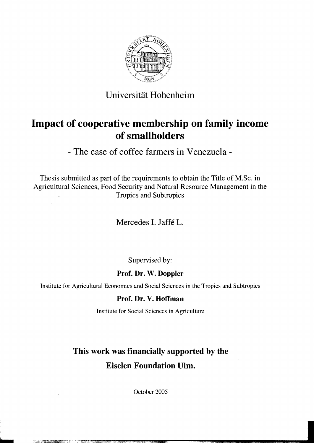

### Universität Hohenheim

## **Impact of cooperative membership on family income of smallholders**

- The case of coffee farmers in Venezuela

Thesis submitted as part of the requirements to obtain the Title of M.Sc. in Agricultural Sciences, Food Security and Natural Resource Management in the Tropics and Subtropics

Mercedes I. Jaffe L.

Supervised by:

### Prof. Dr. W. Doppler

Institute for Agricultural Economies and Social Sciences in the Tropics and Subtropics

#### Prof. Dr. V. Hoffman

Institute for Social Sciences in Agriculture

# This work was financially supported by the Eiselen Foundation Ulm.

October 2005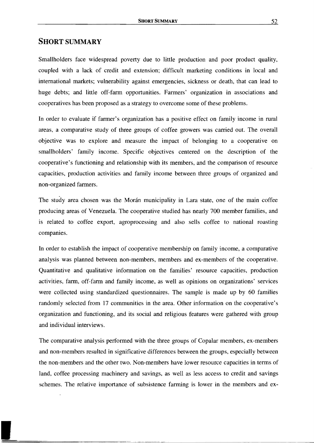#### **SHORT SUMMARY**

Smallholders face widespread poverty due to little production and poor product quality, coupled with a lack of credit and extension; difficult marketing conditions in local and international markets; vulnerability against emergencies, sickness or death, that can lead to huge debts; and litde off-farm opportunities. Farmers' organization in associations and cooperatives has been proposed as a strategy to overcome some of these problems.

In order to evaluate if farmer's organization has a positive effect on family income in rural areas, a comparative study of three groups of coffee growers was carried out. The overall objective was to explore and measure the impact of belonging to a cooperative on smallholders' family income. Specific objectives centered on the description of the cooperative's functioning and relationship with its members, and the comparison of resource capacities, production activities and family income between three groups of organized and non-organized farmers.

The study area chosen was the Morán municipality in Lara state, one of the main coffee producing areas of Venezuela. Tbe cooperative studied has nearly 700 member families, and is related to coffee export, agroprocessing and also seIls coffee to national roasting companies.

In order to establish the impact of cooperative membership on family income, a comparative analysis was planned between non-members, members and ex-members of the cooperative. Quantitative and qualitative information on the families' resource capacities, production activities, farm, off-farm and family income, as weIl as opinions on organizations' services were collected using standardized questionnaires. The sample is made up by 60 families randomly selected from 17 communities in the area. Other information on the cooperative's organization and functioning, and its social and religious features were gathered with group and individual interviews.

The comparative analysis performed with the three groups of Copalar members, ex-members and non-members resulted in significative differences between the groups, especially between the non-members and the other two. Non-members have lower resource capacities in terms of land, coffee processing machinery and savings, as weIl as less access to credit and savings schemes. The relative importance of subsistence farming is lower in the members and ex